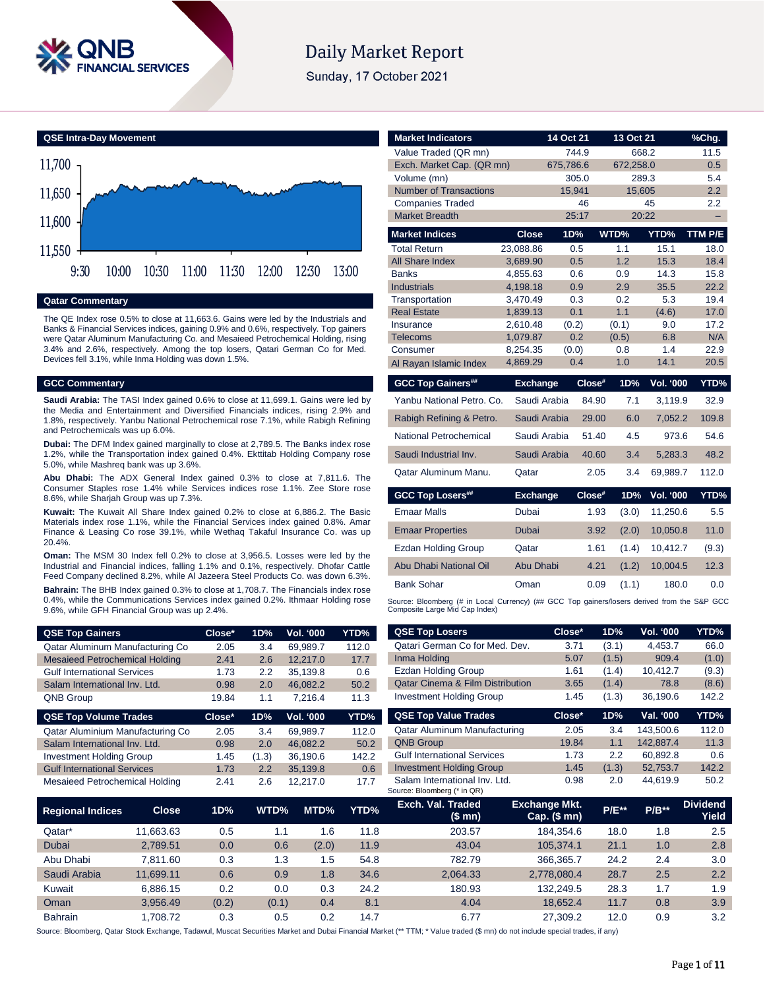

# **Daily Market Report**

Sunday, 17 October 2021



### **Qatar Commentary**

The QE Index rose 0.5% to close at 11,663.6. Gains were led by the Industrials and Banks & Financial Services indices, gaining 0.9% and 0.6%, respectively. Top gainers were Qatar Aluminum Manufacturing Co. and Mesaieed Petrochemical Holding, rising 3.4% and 2.6%, respectively. Among the top losers, Qatari German Co for Med. Devices fell 3.1%, while Inma Holding was down 1.5%.

### **GCC Commentary**

**Saudi Arabia:** The TASI Index gained 0.6% to close at 11,699.1. Gains were led by the Media and Entertainment and Diversified Financials indices, rising 2.9% and 1.8%, respectively. Yanbu National Petrochemical rose 7.1%, while Rabigh Refining and Petrochemicals was up 6.0%.

**Dubai:** The DFM Index gained marginally to close at 2,789.5. The Banks index rose 1.2%, while the Transportation index gained 0.4%. Ekttitab Holding Company rose 5.0%, while Mashreq bank was up 3.6%.

**Abu Dhabi:** The ADX General Index gained 0.3% to close at 7,811.6. The Consumer Staples rose 1.4% while Services indices rose 1.1%. Zee Store rose 8.6%, while Sharjah Group was up 7.3%.

**Kuwait:** The Kuwait All Share Index gained 0.2% to close at 6,886.2. The Basic Materials index rose 1.1%, while the Financial Services index gained 0.8%. Amar Finance & Leasing Co rose 39.1%, while Wethaq Takaful Insurance Co. was up 20.4%.

**Oman:** The MSM 30 Index fell 0.2% to close at 3,956.5. Losses were led by the Industrial and Financial indices, falling 1.1% and 0.1%, respectively. Dhofar Cattle Feed Company declined 8.2%, while Al Jazeera Steel Products Co. was down 6.3%.

**Bahrain:** The BHB Index gained 0.3% to close at 1,708.7. The Financials index rose 0.4%, while the Communications Services index gained 0.2%. Ithmaar Holding rose 9.6%, while GFH Financial Group was up 2.4%.

| <b>QSE Top Gainers</b>                | Close* | 1D% | <b>Vol. '000</b> | YTD%  |
|---------------------------------------|--------|-----|------------------|-------|
| Qatar Aluminum Manufacturing Co       | 2.05   | 3.4 | 69.989.7         | 112.0 |
| <b>Mesaieed Petrochemical Holding</b> | 2.41   | 2.6 | 12.217.0         | 17.7  |
| <b>Gulf International Services</b>    | 1.73   | 2.2 | 35.139.8         | 0.6   |
| Salam International Inv. Ltd.         | 0.98   | 2.0 | 46.082.2         | 50.2  |
| <b>QNB Group</b>                      | 19.84  | 1.1 | 7.216.4          | 11.3  |

| <b>QSE Top Volume Trades</b>       | Close* | 1D%   | <b>Vol. '000</b> | YTD%  |
|------------------------------------|--------|-------|------------------|-------|
| Qatar Aluminium Manufacturing Co   | 2.05   | 3.4   | 69.989.7         | 112.0 |
| Salam International Inv. Ltd.      | 0.98   | 2.0   | 46.082.2         | 50.2  |
| <b>Investment Holding Group</b>    | 1.45   | (1.3) | 36.190.6         | 142.2 |
| <b>Gulf International Services</b> | 1.73   | 2.2   | 35.139.8         | 0.6   |
| Mesaieed Petrochemical Holding     | 2.41   | 2.6   | 12.217.0         | 17.7  |

| <b>Market Indicators</b>      |                      | 14 Oct 21    |           | 13 Oct 21    |            | %Chg.       |
|-------------------------------|----------------------|--------------|-----------|--------------|------------|-------------|
| Value Traded (QR mn)          |                      |              | 744.9     | 668.2        |            | 11.5        |
| Exch. Market Cap. (QR mn)     |                      | 675,786.6    |           | 672,258.0    |            | 0.5         |
| Volume (mn)                   |                      |              | 305.0     | 289.3        |            | 5.4         |
| <b>Number of Transactions</b> |                      | 15,941       |           | 15,605       |            | 2.2         |
| <b>Companies Traded</b>       |                      |              | 46        |              | 45         | 2.2         |
| <b>Market Breadth</b>         |                      |              | 25:17     | 20:22        |            | -           |
| <b>Market Indices</b>         | <b>Close</b>         | 1D%          |           | WTD%         | YTD%       | TTM P/E     |
| <b>Total Return</b>           | 23.088.86            | 0.5          |           | 1.1          | 15.1       | 18.0        |
| All Share Index               | 3.689.90             | 0.5          |           | 1.2          | 15.3       | 18.4        |
| <b>Banks</b>                  | 4,855.63             | 0.6          |           | 0.9          | 14.3       | 15.8        |
| <b>Industrials</b>            | 4,198.18             | 0.9          |           | 2.9          | 35.5       | 22.2        |
| Transportation                | 3.470.49             | 0.3          |           | 0.2          | 5.3        | 19.4        |
| <b>Real Estate</b>            | 1,839.13             | 0.1          |           | 1.1          | (4.6)      | 17.0        |
| Insurance                     | 2.610.48             | (0.2)<br>0.2 |           | (0.1)        | 9.0<br>6.8 | 17.2        |
| <b>Telecoms</b><br>Consumer   | 1,079.87<br>8.254.35 | (0.0)        |           | (0.5)<br>0.8 | 1.4        | N/A<br>22.9 |
| Al Rayan Islamic Index        | 4,869.29             | 0.4          |           | 1.0          | 14.1       | 20.5        |
|                               |                      |              |           |              |            |             |
|                               |                      |              |           |              |            |             |
| <b>GCC Top Gainers##</b>      | <b>Exchange</b>      |              | $Close^*$ | 1D%          | Vol. '000  | YTD%        |
| Yanbu National Petro, Co.     | Saudi Arabia         |              | 84.90     | 7.1          | 3.119.9    | 32.9        |
| Rabigh Refining & Petro.      | Saudi Arabia         |              | 29.00     | 6.0          | 7,052.2    | 109.8       |
| National Petrochemical        | Saudi Arabia         |              | 51.40     | 4.5          | 973.6      | 54.6        |
| Saudi Industrial Inv.         | Saudi Arabia         |              | 40.60     | 3.4          | 5,283.3    | 48.2        |
| Qatar Aluminum Manu.          | Qatar                |              | 2.05      | 3.4          | 69,989.7   | 112.0       |
| <b>GCC Top Losers##</b>       | <b>Exchange</b>      |              | $Close^*$ | 1D%          | Vol. '000  | YTD%        |
| <b>Emaar Malls</b>            | Dubai                |              | 1.93      | (3.0)        | 11.250.6   | 5.5         |
| <b>Emaar Properties</b>       | Dubai                |              | 3.92      | (2.0)        | 10,050.8   | 11.0        |
| Ezdan Holding Group           | Qatar                |              | 1.61      | (1.4)        | 10,412.7   | (9.3)       |
| Abu Dhabi National Oil        | Abu Dhabi            |              | 4.21      | (1.2)        | 10,004.5   | 12.3        |
| <b>Bank Sohar</b>             | Oman                 |              | 0.09      | (1.1)        | 180.0      | 0.0         |

| <b>QSE Top Losers</b>                                         | Close*                                 | 1D%          | Vol. '000 | YTD%                     |
|---------------------------------------------------------------|----------------------------------------|--------------|-----------|--------------------------|
| Qatari German Co for Med. Dev.                                | 3.71                                   | (3.1)        | 4,453.7   | 66.0                     |
| Inma Holding                                                  | 5.07                                   | (1.5)        | 909.4     | (1.0)                    |
| <b>Ezdan Holding Group</b>                                    | 1.61                                   | (1.4)        | 10,412.7  | (9.3)                    |
| <b>Qatar Cinema &amp; Film Distribution</b>                   | 3.65                                   | (1.4)        | 78.8      | (8.6)                    |
| <b>Investment Holding Group</b>                               | 1.45                                   | (1.3)        | 36,190.6  | 142.2                    |
| <b>QSE Top Value Trades</b>                                   | Close*                                 | 1D%          | Val. '000 | YTD%                     |
| <b>Qatar Aluminum Manufacturing</b>                           | 2.05                                   | 3.4          | 143.500.6 | 112.0                    |
| <b>QNB Group</b>                                              | 19.84                                  | 1.1          | 142.887.4 | 11.3                     |
| <b>Gulf International Services</b>                            | 1.73                                   | 2.2          | 60.892.8  | 0.6                      |
| <b>Investment Holding Group</b>                               | 1.45                                   | (1.3)        | 52,753.7  | 142.2                    |
| Salam International Inv. I td.<br>Source: Bloomberg (* in QR) | 0.98                                   | 2.0          | 44.619.9  | 50.2                     |
| Exch. Val. Traded<br>(\$ mn)                                  | <b>Exchange Mkt.</b><br>$Cap.$ (\$ mn) | <b>P/E**</b> | $P/B**$   | <b>Dividend</b><br>Yield |
|                                                               |                                        |              |           |                          |

| <b>Regional Indices</b> | Close <sub>1</sub> | 1D%   | WTD%  | MTD%           | YTD% | Exch. Val. Traded<br>(\$ mn) | <b>Exchange Mkt.</b><br>Cap. $($$ mn $)$ | <b>P/E**</b> | $P/B**$ | <b>Dividend</b><br>Yield |
|-------------------------|--------------------|-------|-------|----------------|------|------------------------------|------------------------------------------|--------------|---------|--------------------------|
| Qatar*                  | 11.663.63          | 0.5   | 1.1   | $\overline{6}$ | 11.8 | 203.57                       | 184.354.6                                | 18.0         | 1.8     | 2.5                      |
| <b>Dubai</b>            | 2,789.51           | 0.0   | 0.6   | (2.0)          | 11.9 | 43.04                        | 105.374.1                                | 21.1         | 1.0     | 2.8                      |
| Abu Dhabi               | 7.811.60           | 0.3   | 1.3   | 5. ا           | 54.8 | 782.79                       | 366.365.7                                | 24.2         | 2.4     | 3.0                      |
| Saudi Arabia            | 11.699.11          | 0.6   | 0.9   | 1.8            | 34.6 | 2.064.33                     | 2.778.080.4                              | 28.7         | 2.5     | 2.2                      |
| Kuwait                  | 6.886.15           | 0.2   | 0.0   | 0.3            | 24.2 | 180.93                       | 132.249.5                                | 28.3         | 1.7     | 1.9                      |
| Oman                    | 3.956.49           | (0.2) | (0.1) | 0.4            | 8.1  | 4.04                         | 18.652.4                                 | 11.7         | 0.8     | 3.9                      |
| <b>Bahrain</b>          | .708.72            | 0.3   | 0.5   | 0.2            | 14.7 | 6.77                         | 27.309.2                                 | 12.0         | 0.9     | 3.2                      |

Source: Bloomberg, Qatar Stock Exchange, Tadawul, Muscat Securities Market and Dubai Financial Market (\*\* TTM; \* Value traded (\$ mn) do not include special trades, if any)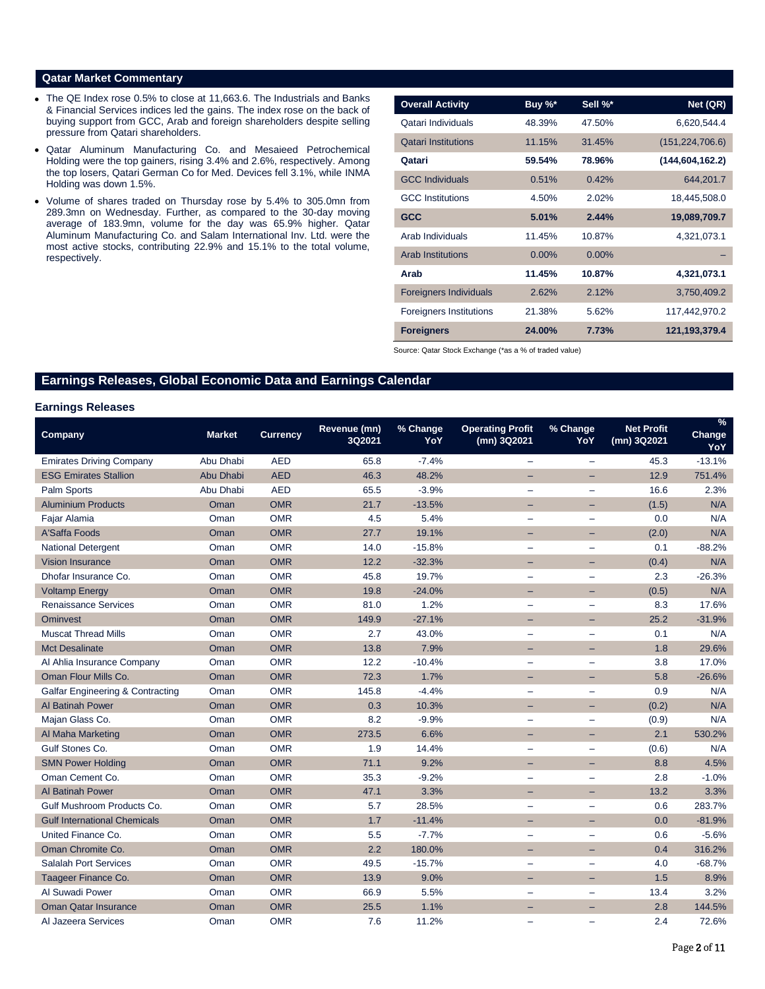# **Qatar Market Commentary**

- The QE Index rose 0.5% to close at 11,663.6. The Industrials and Banks & Financial Services indices led the gains. The index rose on the back of buying support from GCC, Arab and foreign shareholders despite selling pressure from Qatari shareholders.
- Qatar Aluminum Manufacturing Co. and Mesaieed Petrochemical Holding were the top gainers, rising 3.4% and 2.6%, respectively. Among the top losers, Qatari German Co for Med. Devices fell 3.1%, while INMA Holding was down 1.5%.
- Volume of shares traded on Thursday rose by 5.4% to 305.0mn from 289.3mn on Wednesday. Further, as compared to the 30-day moving average of 183.9mn, volume for the day was 65.9% higher. Qatar Aluminum Manufacturing Co. and Salam International Inv. Ltd. were the most active stocks, contributing 22.9% and 15.1% to the total volume, respectively.

| <b>Overall Activity</b>        | Buy %*   | Sell %*  | Net (QR)          |
|--------------------------------|----------|----------|-------------------|
| Qatari Individuals             | 48.39%   | 47.50%   | 6,620,544.4       |
| <b>Qatari Institutions</b>     | 11.15%   | 31.45%   | (151, 224, 706.6) |
| Qatari                         | 59.54%   | 78.96%   | (144, 604, 162.2) |
| <b>GCC Individuals</b>         | 0.51%    | 0.42%    | 644,201.7         |
| <b>GCC</b> Institutions        | 4.50%    | 2.02%    | 18,445,508.0      |
| <b>GCC</b>                     | 5.01%    | 2.44%    | 19,089,709.7      |
| Arab Individuals               | 11.45%   | 10.87%   | 4,321,073.1       |
| <b>Arab Institutions</b>       | $0.00\%$ | $0.00\%$ |                   |
| Arab                           | 11.45%   | 10.87%   | 4,321,073.1       |
| <b>Foreigners Individuals</b>  | 2.62%    | 2.12%    | 3,750,409.2       |
| <b>Foreigners Institutions</b> | 21.38%   | 5.62%    | 117,442,970.2     |
| <b>Foreigners</b>              | 24.00%   | 7.73%    | 121, 193, 379. 4  |

Source: Qatar Stock Exchange (\*as a % of traded value)

# **Earnings Releases, Global Economic Data and Earnings Calendar**

### **Earnings Releases**

| Company                                     | <b>Market</b> | <b>Currency</b> | Revenue (mn)<br>3Q2021 | % Change<br>YoY | <b>Operating Profit</b><br>(mn) 3Q2021 | % Change<br>YoY          | <b>Net Profit</b><br>(mn) 3Q2021 | %<br>Change<br>YoY |
|---------------------------------------------|---------------|-----------------|------------------------|-----------------|----------------------------------------|--------------------------|----------------------------------|--------------------|
| <b>Emirates Driving Company</b>             | Abu Dhabi     | <b>AED</b>      | 65.8                   | $-7.4%$         | $\qquad \qquad -$                      | $\overline{\phantom{m}}$ | 45.3                             | $-13.1%$           |
| <b>ESG Emirates Stallion</b>                | Abu Dhabi     | <b>AED</b>      | 46.3                   | 48.2%           | -                                      | -                        | 12.9                             | 751.4%             |
| Palm Sports                                 | Abu Dhabi     | <b>AED</b>      | 65.5                   | $-3.9%$         | $\qquad \qquad -$                      | $\equiv$                 | 16.6                             | 2.3%               |
| <b>Aluminium Products</b>                   | Oman          | <b>OMR</b>      | 21.7                   | $-13.5%$        |                                        |                          | (1.5)                            | N/A                |
| Fajar Alamia                                | Oman          | <b>OMR</b>      | 4.5                    | 5.4%            | $\overline{\phantom{m}}$               | $\overline{\phantom{0}}$ | 0.0                              | N/A                |
| <b>A'Saffa Foods</b>                        | Oman          | <b>OMR</b>      | 27.7                   | 19.1%           | $\qquad \qquad -$                      |                          | (2.0)                            | N/A                |
| <b>National Detergent</b>                   | Oman          | <b>OMR</b>      | 14.0                   | $-15.8%$        | $\qquad \qquad -$                      | $\equiv$                 | 0.1                              | $-88.2%$           |
| <b>Vision Insurance</b>                     | Oman          | <b>OMR</b>      | 12.2                   | $-32.3%$        | $=$                                    | $=$                      | (0.4)                            | N/A                |
| Dhofar Insurance Co.                        | Oman          | <b>OMR</b>      | 45.8                   | 19.7%           |                                        |                          | 2.3                              | $-26.3%$           |
| <b>Voltamp Energy</b>                       | Oman          | <b>OMR</b>      | 19.8                   | $-24.0%$        | $\overline{\phantom{0}}$               | -                        | (0.5)                            | N/A                |
| <b>Renaissance Services</b>                 | Oman          | <b>OMR</b>      | 81.0                   | 1.2%            | $\qquad \qquad -$                      | $\overline{\phantom{m}}$ | 8.3                              | 17.6%              |
| <b>Ominvest</b>                             | Oman          | <b>OMR</b>      | 149.9                  | $-27.1%$        | $\overline{\phantom{0}}$               | -                        | 25.2                             | $-31.9%$           |
| <b>Muscat Thread Mills</b>                  | Oman          | <b>OMR</b>      | 2.7                    | 43.0%           | $\overline{\phantom{m}}$               | $\equiv$                 | 0.1                              | N/A                |
| <b>Mct Desalinate</b>                       | Oman          | <b>OMR</b>      | 13.8                   | 7.9%            | $=$                                    |                          | 1.8                              | 29.6%              |
| Al Ahlia Insurance Company                  | Oman          | <b>OMR</b>      | 12.2                   | $-10.4%$        | -                                      |                          | 3.8                              | 17.0%              |
| Oman Flour Mills Co.                        | Oman          | <b>OMR</b>      | 72.3                   | 1.7%            | ÷                                      | $\qquad \qquad -$        | 5.8                              | $-26.6%$           |
| <b>Galfar Engineering &amp; Contracting</b> | Oman          | <b>OMR</b>      | 145.8                  | $-4.4%$         | $\overline{\phantom{0}}$               | $\overline{\phantom{0}}$ | 0.9                              | N/A                |
| <b>Al Batinah Power</b>                     | Oman          | <b>OMR</b>      | 0.3                    | 10.3%           | -                                      |                          | (0.2)                            | N/A                |
| Majan Glass Co.                             | Oman          | <b>OMR</b>      | 8.2                    | $-9.9%$         | $\equiv$                               | ÷                        | (0.9)                            | N/A                |
| Al Maha Marketing                           | Oman          | <b>OMR</b>      | 273.5                  | 6.6%            | $\qquad \qquad -$                      | $\overline{\phantom{0}}$ | 2.1                              | 530.2%             |
| Gulf Stones Co.                             | Oman          | <b>OMR</b>      | 1.9                    | 14.4%           | $\equiv$                               | $\equiv$                 | (0.6)                            | N/A                |
| <b>SMN Power Holding</b>                    | Oman          | <b>OMR</b>      | 71.1                   | 9.2%            |                                        |                          | 8.8                              | 4.5%               |
| Oman Cement Co.                             | Oman          | <b>OMR</b>      | 35.3                   | $-9.2%$         | $\equiv$                               |                          | 2.8                              | $-1.0%$            |
| <b>Al Batinah Power</b>                     | Oman          | <b>OMR</b>      | 47.1                   | 3.3%            | ÷                                      | $\equiv$                 | 13.2                             | 3.3%               |
| Gulf Mushroom Products Co.                  | Oman          | <b>OMR</b>      | 5.7                    | 28.5%           | ÷                                      | $\equiv$                 | 0.6                              | 283.7%             |
| <b>Gulf International Chemicals</b>         | Oman          | <b>OMR</b>      | 1.7                    | $-11.4%$        | $-$                                    |                          | 0.0                              | $-81.9%$           |
| United Finance Co.                          | Oman          | <b>OMR</b>      | 5.5                    | $-7.7%$         | $\equiv$                               | $\equiv$                 | 0.6                              | $-5.6%$            |
| Oman Chromite Co.                           | Oman          | <b>OMR</b>      | 2.2                    | 180.0%          | -                                      |                          | 0.4                              | 316.2%             |
| <b>Salalah Port Services</b>                | Oman          | <b>OMR</b>      | 49.5                   | $-15.7%$        | $\qquad \qquad -$                      |                          | 4.0                              | $-68.7%$           |
| Taageer Finance Co.                         | Oman          | <b>OMR</b>      | 13.9                   | 9.0%            | $-$                                    | $-$                      | 1.5                              | 8.9%               |
| Al Suwadi Power                             | Oman          | <b>OMR</b>      | 66.9                   | 5.5%            | $\qquad \qquad -$                      | $\equiv$                 | 13.4                             | 3.2%               |
| <b>Oman Qatar Insurance</b>                 | Oman          | <b>OMR</b>      | 25.5                   | 1.1%            |                                        |                          | 2.8                              | 144.5%             |
| Al Jazeera Services                         | Oman          | <b>OMR</b>      | 7.6                    | 11.2%           |                                        |                          | 2.4                              | 72.6%              |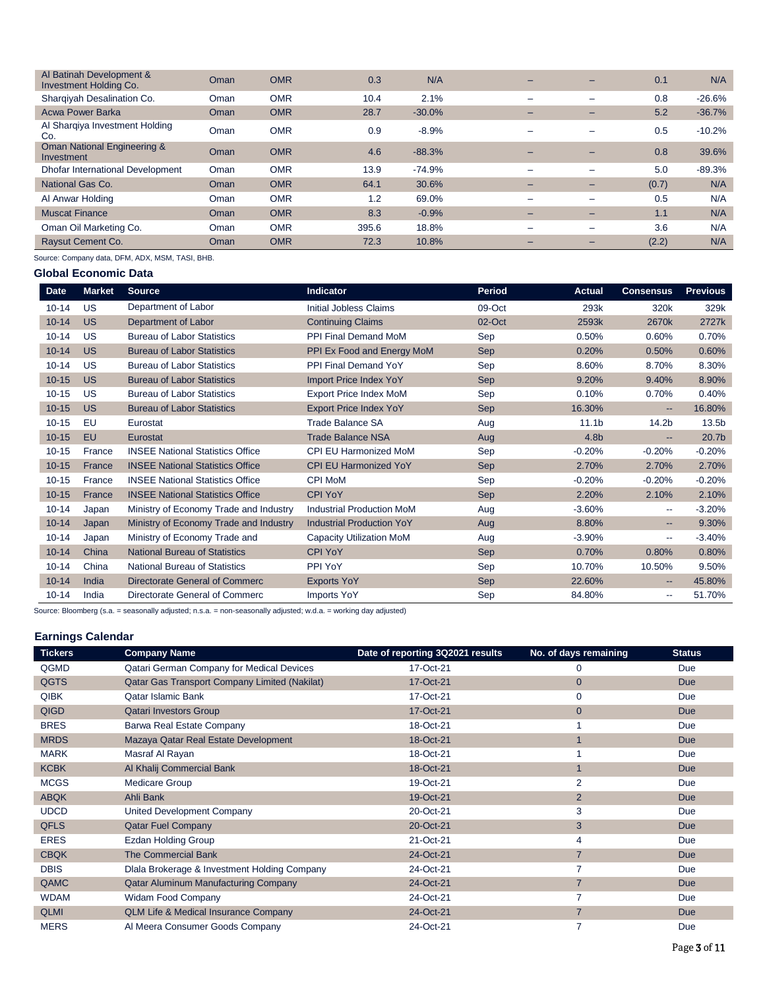| Al Batinah Development &<br>Investment Holding Co. | Oman | <b>OMR</b> | 0.3   | N/A      |   |                          | 0.1   | N/A      |
|----------------------------------------------------|------|------------|-------|----------|---|--------------------------|-------|----------|
| Sharqiyah Desalination Co.                         | Oman | <b>OMR</b> | 10.4  | 2.1%     | - | -                        | 0.8   | $-26.6%$ |
| <b>Acwa Power Barka</b>                            | Oman | <b>OMR</b> | 28.7  | $-30.0%$ | - | -                        | 5.2   | $-36.7%$ |
| Al Shargiya Investment Holding<br>Co.              | Oman | <b>OMR</b> | 0.9   | $-8.9%$  |   |                          | 0.5   | $-10.2%$ |
| Oman National Engineering &<br>Investment          | Oman | <b>OMR</b> | 4.6   | $-88.3%$ |   |                          | 0.8   | 39.6%    |
| <b>Dhofar International Development</b>            | Oman | <b>OMR</b> | 13.9  | $-74.9%$ |   |                          | 5.0   | $-89.3%$ |
| National Gas Co.                                   | Oman | <b>OMR</b> | 64.1  | 30.6%    | - | -                        | (0.7) | N/A      |
| Al Anwar Holding                                   | Oman | <b>OMR</b> | 1.2   | 69.0%    |   | $\overline{\phantom{0}}$ | 0.5   | N/A      |
| <b>Muscat Finance</b>                              | Oman | <b>OMR</b> | 8.3   | $-0.9%$  | - | -                        | 1.1   | N/A      |
| Oman Oil Marketing Co.                             | Oman | <b>OMR</b> | 395.6 | 18.8%    | - | $\overline{\phantom{0}}$ | 3.6   | N/A      |
| Raysut Cement Co.                                  | Oman | <b>OMR</b> | 72.3  | 10.8%    | - | -                        | (2.2) | N/A      |

Source: Company data, DFM, ADX, MSM, TASI, BHB.

# **Global Economic Data**

| <b>Date</b> | <b>Market</b> | <b>Source</b>                           | <b>Indicator</b>                 | Period     | <b>Actual</b>     | <b>Consensus</b>         | <b>Previous</b> |
|-------------|---------------|-----------------------------------------|----------------------------------|------------|-------------------|--------------------------|-----------------|
| $10 - 14$   | US            | Department of Labor                     | Initial Jobless Claims           | 09-Oct     | 293k              | 320k                     | 329k            |
| $10 - 14$   | <b>US</b>     | Department of Labor                     | <b>Continuing Claims</b>         | 02-Oct     | 2593k             | 2670k                    | 2727k           |
| $10 - 14$   | US            | <b>Bureau of Labor Statistics</b>       | <b>PPI Final Demand MoM</b>      | Sep        | 0.50%             | 0.60%                    | 0.70%           |
| $10 - 14$   | <b>US</b>     | <b>Bureau of Labor Statistics</b>       | PPI Ex Food and Energy MoM       | Sep        | 0.20%             | 0.50%                    | 0.60%           |
| $10 - 14$   | US            | <b>Bureau of Labor Statistics</b>       | <b>PPI Final Demand YoY</b>      | Sep        | 8.60%             | 8.70%                    | 8.30%           |
| $10 - 15$   | <b>US</b>     | <b>Bureau of Labor Statistics</b>       | <b>Import Price Index YoY</b>    | <b>Sep</b> | 9.20%             | 9.40%                    | 8.90%           |
| $10 - 15$   | US            | <b>Bureau of Labor Statistics</b>       | Export Price Index MoM           | Sep        | 0.10%             | 0.70%                    | 0.40%           |
| $10 - 15$   | <b>US</b>     | <b>Bureau of Labor Statistics</b>       | <b>Export Price Index YoY</b>    | <b>Sep</b> | 16.30%            | --                       | 16.80%          |
| $10 - 15$   | EU            | Eurostat                                | <b>Trade Balance SA</b>          | Aug        | 11.1 <sub>b</sub> | 14.2b                    | 13.5b           |
| $10 - 15$   | EU            | Eurostat                                | <b>Trade Balance NSA</b>         | Aug        | 4.8 <sub>b</sub>  | --                       | 20.7b           |
| $10 - 15$   | France        | <b>INSEE National Statistics Office</b> | <b>CPI EU Harmonized MoM</b>     | Sep        | $-0.20%$          | $-0.20%$                 | $-0.20%$        |
| $10 - 15$   | France        | <b>INSEE National Statistics Office</b> | <b>CPI EU Harmonized YoY</b>     | <b>Sep</b> | 2.70%             | 2.70%                    | 2.70%           |
| $10 - 15$   | France        | <b>INSEE National Statistics Office</b> | <b>CPI MoM</b>                   | Sep        | $-0.20%$          | $-0.20%$                 | $-0.20%$        |
| $10 - 15$   | France        | <b>INSEE National Statistics Office</b> | <b>CPI YoY</b>                   | Sep        | 2.20%             | 2.10%                    | 2.10%           |
| $10 - 14$   | Japan         | Ministry of Economy Trade and Industry  | <b>Industrial Production MoM</b> | Aug        | $-3.60%$          | $\overline{\phantom{a}}$ | $-3.20%$        |
| $10 - 14$   | Japan         | Ministry of Economy Trade and Industry  | <b>Industrial Production YoY</b> | Aug        | 8.80%             | --                       | 9.30%           |
| $10 - 14$   | Japan         | Ministry of Economy Trade and           | <b>Capacity Utilization MoM</b>  | Aug        | $-3.90%$          | --                       | $-3.40%$        |
| $10 - 14$   | China         | <b>National Bureau of Statistics</b>    | <b>CPI YoY</b>                   | Sep        | 0.70%             | 0.80%                    | 0.80%           |
| $10 - 14$   | China         | National Bureau of Statistics           | PPI YoY                          | Sep        | 10.70%            | 10.50%                   | 9.50%           |
| $10 - 14$   | India         | <b>Directorate General of Commerc</b>   | <b>Exports YoY</b>               | <b>Sep</b> | 22.60%            | --                       | 45.80%          |
| $10 - 14$   | India         | Directorate General of Commerc          | Imports YoY                      | Sep        | 84.80%            | --                       | 51.70%          |

Source: Bloomberg (s.a. = seasonally adjusted; n.s.a. = non-seasonally adjusted; w.d.a. = working day adjusted)

# **Earnings Calendar**

| <b>Tickers</b> | <b>Company Name</b>                              | Date of reporting 3Q2021 results | No. of days remaining | <b>Status</b> |
|----------------|--------------------------------------------------|----------------------------------|-----------------------|---------------|
| QGMD           | <b>Qatari German Company for Medical Devices</b> | 17-Oct-21                        | 0                     | Due           |
| <b>QGTS</b>    | Qatar Gas Transport Company Limited (Nakilat)    | 17-Oct-21                        | $\mathbf{0}$          | <b>Due</b>    |
| <b>QIBK</b>    | <b>Qatar Islamic Bank</b>                        | 17-Oct-21                        | $\mathbf 0$           | Due           |
| <b>QIGD</b>    | <b>Qatari Investors Group</b>                    | 17-Oct-21                        | $\mathbf{0}$          | <b>Due</b>    |
| <b>BRES</b>    | Barwa Real Estate Company                        | 18-Oct-21                        |                       | Due           |
| <b>MRDS</b>    | Mazaya Qatar Real Estate Development             | 18-Oct-21                        | 1                     | <b>Due</b>    |
| <b>MARK</b>    | Masraf Al Rayan                                  | 18-Oct-21                        |                       | Due           |
| <b>KCBK</b>    | Al Khalij Commercial Bank                        | 18-Oct-21                        | $\mathbf 1$           | <b>Due</b>    |
| <b>MCGS</b>    | Medicare Group                                   | 19-Oct-21                        | $\overline{2}$        | Due           |
| <b>ABQK</b>    | Ahli Bank                                        | 19-Oct-21                        | $\overline{2}$        | <b>Due</b>    |
| <b>UDCD</b>    | United Development Company                       | 20-Oct-21                        | 3                     | Due           |
| <b>QFLS</b>    | <b>Qatar Fuel Company</b>                        | 20-Oct-21                        | 3                     | <b>Due</b>    |
| <b>ERES</b>    | Ezdan Holding Group                              | 21-Oct-21                        | 4                     | Due           |
| <b>CBQK</b>    | <b>The Commercial Bank</b>                       | 24-Oct-21                        | $\overline{7}$        | <b>Due</b>    |
| <b>DBIS</b>    | Dlala Brokerage & Investment Holding Company     | 24-Oct-21                        | 7                     | Due           |
| QAMC           | <b>Qatar Aluminum Manufacturing Company</b>      | 24-Oct-21                        | $\overline{7}$        | <b>Due</b>    |
| <b>WDAM</b>    | Widam Food Company                               | 24-Oct-21                        | 7                     | Due           |
| <b>QLMI</b>    | <b>QLM Life &amp; Medical Insurance Company</b>  | 24-Oct-21                        | $\overline{7}$        | <b>Due</b>    |
| <b>MERS</b>    | Al Meera Consumer Goods Company                  | 24-Oct-21                        | 7                     | Due           |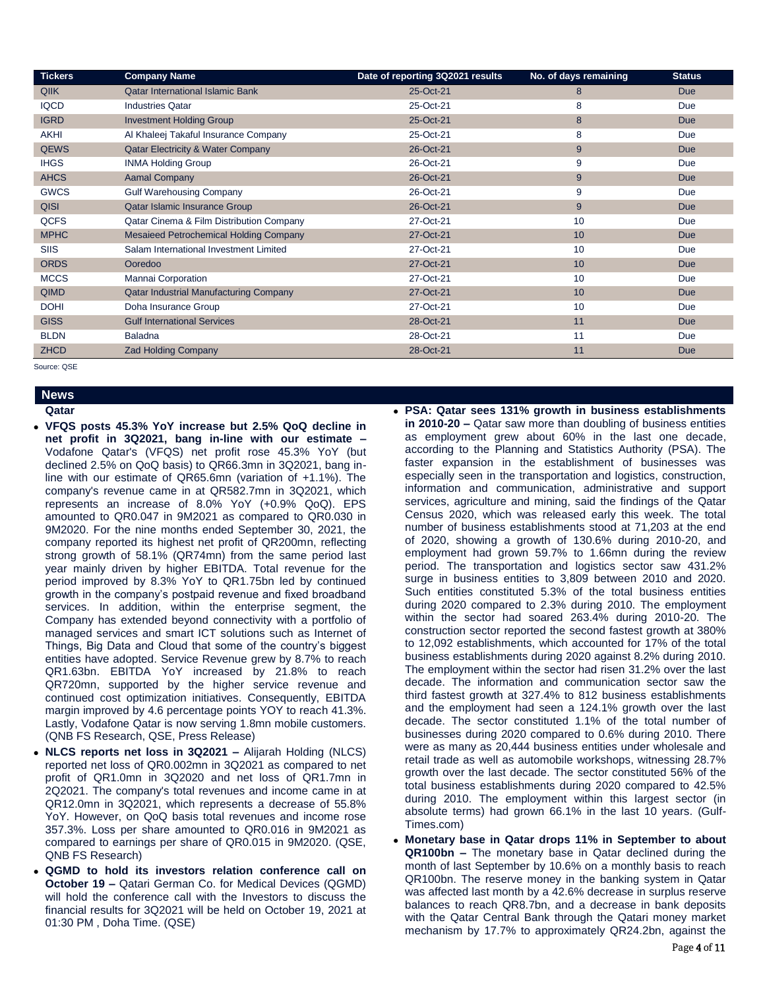| <b>Tickers</b> | <b>Company Name</b>                                 | Date of reporting 3Q2021 results | No. of days remaining | <b>Status</b> |
|----------------|-----------------------------------------------------|----------------------------------|-----------------------|---------------|
| <b>QIIK</b>    | <b>Qatar International Islamic Bank</b>             | 25-Oct-21                        | 8                     | <b>Due</b>    |
| <b>IQCD</b>    | <b>Industries Qatar</b>                             | 25-Oct-21                        | 8                     | Due           |
| <b>IGRD</b>    | <b>Investment Holding Group</b>                     | 25-Oct-21                        | 8                     | <b>Due</b>    |
| <b>AKHI</b>    | Al Khaleej Takaful Insurance Company                | 25-Oct-21                        | 8                     | Due           |
| <b>QEWS</b>    | <b>Qatar Electricity &amp; Water Company</b>        | 26-Oct-21                        | 9                     | <b>Due</b>    |
| <b>IHGS</b>    | <b>INMA Holding Group</b>                           | 26-Oct-21                        | 9                     | Due           |
| <b>AHCS</b>    | <b>Aamal Company</b>                                | 26-Oct-21                        | 9                     | <b>Due</b>    |
| <b>GWCS</b>    | <b>Gulf Warehousing Company</b>                     | 26-Oct-21                        | 9                     | Due           |
| <b>QISI</b>    | Qatar Islamic Insurance Group                       | 26-Oct-21                        | 9                     | <b>Due</b>    |
| <b>QCFS</b>    | <b>Qatar Cinema &amp; Film Distribution Company</b> | 27-Oct-21                        | 10                    | Due           |
| <b>MPHC</b>    | Mesaieed Petrochemical Holding Company              | 27-Oct-21                        | 10                    | <b>Due</b>    |
| SIIS           | Salam International Investment Limited              | 27-Oct-21                        | 10                    | Due           |
| <b>ORDS</b>    | Ooredoo                                             | 27-Oct-21                        | 10                    | <b>Due</b>    |
| <b>MCCS</b>    | Mannai Corporation                                  | 27-Oct-21                        | 10                    | Due           |
| <b>QIMD</b>    | <b>Qatar Industrial Manufacturing Company</b>       | 27-Oct-21                        | 10                    | <b>Due</b>    |
| <b>DOHI</b>    | Doha Insurance Group                                | 27-Oct-21                        | 10                    | Due           |
| <b>GISS</b>    | <b>Gulf International Services</b>                  | 28-Oct-21                        | 11                    | <b>Due</b>    |
| <b>BLDN</b>    | <b>Baladna</b>                                      | 28-Oct-21                        | 11                    | Due           |
| <b>ZHCD</b>    | <b>Zad Holding Company</b>                          | 28-Oct-21                        | 11                    | <b>Due</b>    |

# Source: QSE

# **News**

### **Qatar**

- **VFQS posts 45.3% YoY increase but 2.5% QoQ decline in net profit in 3Q2021, bang in-line with our estimate –** Vodafone Qatar's (VFQS) net profit rose 45.3% YoY (but declined 2.5% on QoQ basis) to QR66.3mn in 3Q2021, bang inline with our estimate of QR65.6mn (variation of +1.1%). The company's revenue came in at QR582.7mn in 3Q2021, which represents an increase of 8.0% YoY (+0.9% QoQ). EPS amounted to QR0.047 in 9M2021 as compared to QR0.030 in 9M2020. For the nine months ended September 30, 2021, the company reported its highest net profit of QR200mn, reflecting strong growth of 58.1% (QR74mn) from the same period last year mainly driven by higher EBITDA. Total revenue for the period improved by 8.3% YoY to QR1.75bn led by continued growth in the company's postpaid revenue and fixed broadband services. In addition, within the enterprise segment, the Company has extended beyond connectivity with a portfolio of managed services and smart ICT solutions such as Internet of Things, Big Data and Cloud that some of the country's biggest entities have adopted. Service Revenue grew by 8.7% to reach QR1.63bn. EBITDA YoY increased by 21.8% to reach QR720mn, supported by the higher service revenue and continued cost optimization initiatives. Consequently, EBITDA margin improved by 4.6 percentage points YOY to reach 41.3%. Lastly, Vodafone Qatar is now serving 1.8mn mobile customers. (QNB FS Research, QSE, Press Release)
- **NLCS reports net loss in 3Q2021 –** Alijarah Holding (NLCS) reported net loss of QR0.002mn in 3Q2021 as compared to net profit of QR1.0mn in 3Q2020 and net loss of QR1.7mn in 2Q2021. The company's total revenues and income came in at QR12.0mn in 3Q2021, which represents a decrease of 55.8% YoY. However, on QoQ basis total revenues and income rose 357.3%. Loss per share amounted to QR0.016 in 9M2021 as compared to earnings per share of QR0.015 in 9M2020. (QSE, QNB FS Research)
- **QGMD to hold its investors relation conference call on October 19 –** Qatari German Co. for Medical Devices (QGMD) will hold the conference call with the Investors to discuss the financial results for 3Q2021 will be held on October 19, 2021 at 01:30 PM , Doha Time. (QSE)
- **PSA: Qatar sees 131% growth in business establishments in 2010-20 –** Qatar saw more than doubling of business entities as employment grew about 60% in the last one decade, according to the Planning and Statistics Authority (PSA). The faster expansion in the establishment of businesses was especially seen in the transportation and logistics, construction, information and communication, administrative and support services, agriculture and mining, said the findings of the Qatar Census 2020, which was released early this week. The total number of business establishments stood at 71,203 at the end of 2020, showing a growth of 130.6% during 2010-20, and employment had grown 59.7% to 1.66mn during the review period. The transportation and logistics sector saw 431.2% surge in business entities to 3,809 between 2010 and 2020. Such entities constituted 5.3% of the total business entities during 2020 compared to 2.3% during 2010. The employment within the sector had soared 263.4% during 2010-20. The construction sector reported the second fastest growth at 380% to 12,092 establishments, which accounted for 17% of the total business establishments during 2020 against 8.2% during 2010. The employment within the sector had risen 31.2% over the last decade. The information and communication sector saw the third fastest growth at 327.4% to 812 business establishments and the employment had seen a 124.1% growth over the last decade. The sector constituted 1.1% of the total number of businesses during 2020 compared to 0.6% during 2010. There were as many as 20,444 business entities under wholesale and retail trade as well as automobile workshops, witnessing 28.7% growth over the last decade. The sector constituted 56% of the total business establishments during 2020 compared to 42.5% during 2010. The employment within this largest sector (in absolute terms) had grown 66.1% in the last 10 years. (Gulf-Times.com)
- **Monetary base in Qatar drops 11% in September to about QR100bn –** The monetary base in Qatar declined during the month of last September by 10.6% on a monthly basis to reach QR100bn. The reserve money in the banking system in Qatar was affected last month by a 42.6% decrease in surplus reserve balances to reach QR8.7bn, and a decrease in bank deposits with the Qatar Central Bank through the Qatari money market mechanism by 17.7% to approximately QR24.2bn, against the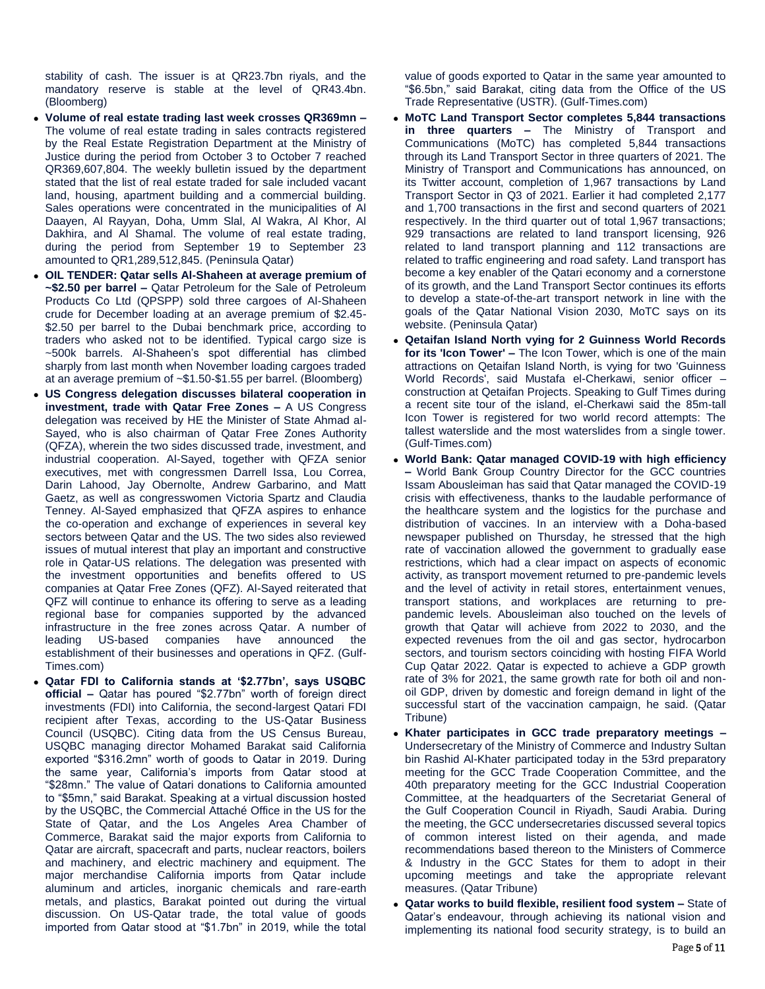stability of cash. The issuer is at QR23.7bn riyals, and the mandatory reserve is stable at the level of QR43.4bn. (Bloomberg)

- **Volume of real estate trading last week crosses QR369mn –** The volume of real estate trading in sales contracts registered by the Real Estate Registration Department at the Ministry of Justice during the period from October 3 to October 7 reached QR369,607,804. The weekly bulletin issued by the department stated that the list of real estate traded for sale included vacant land, housing, apartment building and a commercial building. Sales operations were concentrated in the municipalities of Al Daayen, Al Rayyan, Doha, Umm Slal, Al Wakra, Al Khor, Al Dakhira, and Al Shamal. The volume of real estate trading, during the period from September 19 to September 23 amounted to QR1,289,512,845. (Peninsula Qatar)
- **OIL TENDER: Qatar sells Al-Shaheen at average premium of ~\$2.50 per barrel –** Qatar Petroleum for the Sale of Petroleum Products Co Ltd (QPSPP) sold three cargoes of Al-Shaheen crude for December loading at an average premium of \$2.45- \$2.50 per barrel to the Dubai benchmark price, according to traders who asked not to be identified. Typical cargo size is ~500k barrels. Al-Shaheen's spot differential has climbed sharply from last month when November loading cargoes traded at an average premium of ~\$1.50-\$1.55 per barrel. (Bloomberg)
- **US Congress delegation discusses bilateral cooperation in investment, trade with Qatar Free Zones –** A US Congress delegation was received by HE the Minister of State Ahmad al-Sayed, who is also chairman of Qatar Free Zones Authority (QFZA), wherein the two sides discussed trade, investment, and industrial cooperation. Al-Sayed, together with QFZA senior executives, met with congressmen Darrell Issa, Lou Correa, Darin Lahood, Jay Obernolte, Andrew Garbarino, and Matt Gaetz, as well as congresswomen Victoria Spartz and Claudia Tenney. Al-Sayed emphasized that QFZA aspires to enhance the co-operation and exchange of experiences in several key sectors between Qatar and the US. The two sides also reviewed issues of mutual interest that play an important and constructive role in Qatar-US relations. The delegation was presented with the investment opportunities and benefits offered to US companies at Qatar Free Zones (QFZ). Al-Sayed reiterated that QFZ will continue to enhance its offering to serve as a leading regional base for companies supported by the advanced infrastructure in the free zones across Qatar. A number of leading US-based companies have announced the establishment of their businesses and operations in QFZ. (Gulf-Times.com)
- **Qatar FDI to California stands at '\$2.77bn', says USQBC official –** Qatar has poured "\$2.77bn" worth of foreign direct investments (FDI) into California, the second-largest Qatari FDI recipient after Texas, according to the US-Qatar Business Council (USQBC). Citing data from the US Census Bureau, USQBC managing director Mohamed Barakat said California exported "\$316.2mn" worth of goods to Qatar in 2019. During the same year, California's imports from Qatar stood at "\$28mn." The value of Qatari donations to California amounted to "\$5mn," said Barakat. Speaking at a virtual discussion hosted by the USQBC, the Commercial Attaché Office in the US for the State of Qatar, and the Los Angeles Area Chamber of Commerce, Barakat said the major exports from California to Qatar are aircraft, spacecraft and parts, nuclear reactors, boilers and machinery, and electric machinery and equipment. The major merchandise California imports from Qatar include aluminum and articles, inorganic chemicals and rare-earth metals, and plastics, Barakat pointed out during the virtual discussion. On US-Qatar trade, the total value of goods imported from Qatar stood at "\$1.7bn" in 2019, while the total

value of goods exported to Qatar in the same year amounted to "\$6.5bn," said Barakat, citing data from the Office of the US Trade Representative (USTR). (Gulf-Times.com)

- **MoTC Land Transport Sector completes 5,844 transactions in three quarters –** The Ministry of Transport and Communications (MoTC) has completed 5,844 transactions through its Land Transport Sector in three quarters of 2021. The Ministry of Transport and Communications has announced, on its Twitter account, completion of 1,967 transactions by Land Transport Sector in Q3 of 2021. Earlier it had completed 2,177 and 1,700 transactions in the first and second quarters of 2021 respectively. In the third quarter out of total 1,967 transactions; 929 transactions are related to land transport licensing, 926 related to land transport planning and 112 transactions are related to traffic engineering and road safety. Land transport has become a key enabler of the Qatari economy and a cornerstone of its growth, and the Land Transport Sector continues its efforts to develop a state-of-the-art transport network in line with the goals of the Qatar National Vision 2030, MoTC says on its website. (Peninsula Qatar)
- **Qetaifan Island North vying for 2 Guinness World Records for its 'Icon Tower' –** The Icon Tower, which is one of the main attractions on Qetaifan Island North, is vying for two 'Guinness World Records', said Mustafa el-Cherkawi, senior officer – construction at Qetaifan Projects. Speaking to Gulf Times during a recent site tour of the island, el-Cherkawi said the 85m-tall Icon Tower is registered for two world record attempts: The tallest waterslide and the most waterslides from a single tower. (Gulf-Times.com)
- **World Bank: Qatar managed COVID-19 with high efficiency –** World Bank Group Country Director for the GCC countries Issam Abousleiman has said that Qatar managed the COVID-19 crisis with effectiveness, thanks to the laudable performance of the healthcare system and the logistics for the purchase and distribution of vaccines. In an interview with a Doha-based newspaper published on Thursday, he stressed that the high rate of vaccination allowed the government to gradually ease restrictions, which had a clear impact on aspects of economic activity, as transport movement returned to pre-pandemic levels and the level of activity in retail stores, entertainment venues, transport stations, and workplaces are returning to prepandemic levels. Abousleiman also touched on the levels of growth that Qatar will achieve from 2022 to 2030, and the expected revenues from the oil and gas sector, hydrocarbon sectors, and tourism sectors coinciding with hosting FIFA World Cup Qatar 2022. Qatar is expected to achieve a GDP growth rate of 3% for 2021, the same growth rate for both oil and nonoil GDP, driven by domestic and foreign demand in light of the successful start of the vaccination campaign, he said. (Qatar Tribune)
- **Khater participates in GCC trade preparatory meetings –** Undersecretary of the Ministry of Commerce and Industry Sultan bin Rashid Al-Khater participated today in the 53rd preparatory meeting for the GCC Trade Cooperation Committee, and the 40th preparatory meeting for the GCC Industrial Cooperation Committee, at the headquarters of the Secretariat General of the Gulf Cooperation Council in Riyadh, Saudi Arabia. During the meeting, the GCC undersecretaries discussed several topics of common interest listed on their agenda, and made recommendations based thereon to the Ministers of Commerce & Industry in the GCC States for them to adopt in their upcoming meetings and take the appropriate relevant measures. (Qatar Tribune)
- **Qatar works to build flexible, resilient food system –** State of Qatar's endeavour, through achieving its national vision and implementing its national food security strategy, is to build an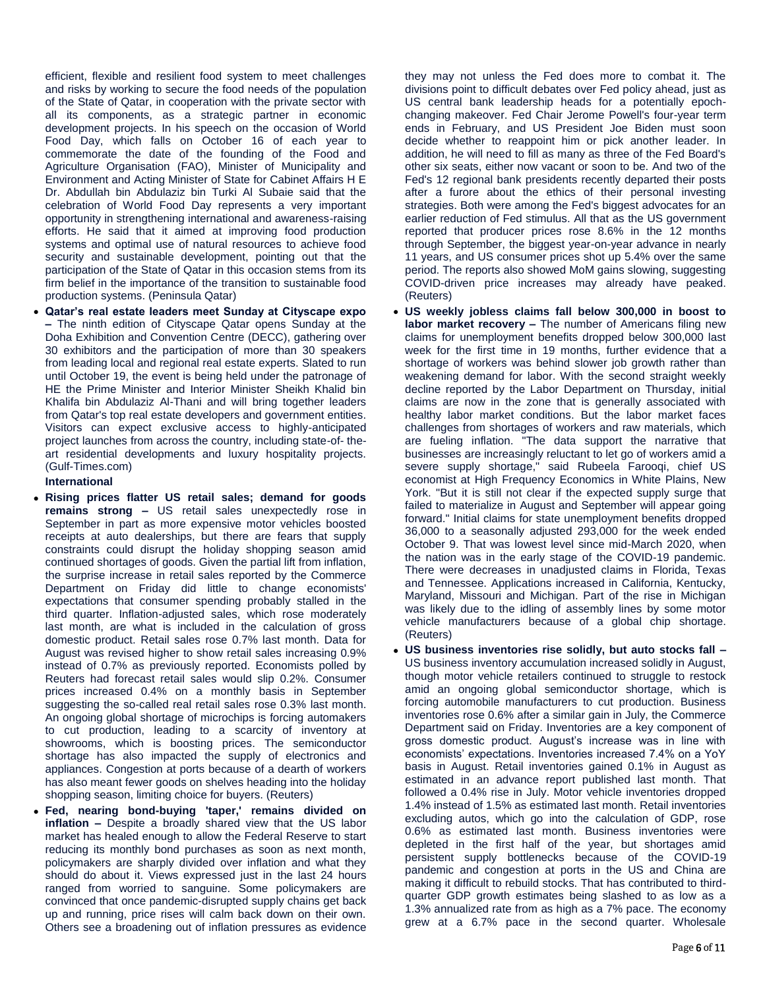efficient, flexible and resilient food system to meet challenges and risks by working to secure the food needs of the population of the State of Qatar, in cooperation with the private sector with all its components, as a strategic partner in economic development projects. In his speech on the occasion of World Food Day, which falls on October 16 of each year to commemorate the date of the founding of the Food and Agriculture Organisation (FAO), Minister of Municipality and Environment and Acting Minister of State for Cabinet Affairs H E Dr. Abdullah bin Abdulaziz bin Turki Al Subaie said that the celebration of World Food Day represents a very important opportunity in strengthening international and awareness-raising efforts. He said that it aimed at improving food production systems and optimal use of natural resources to achieve food security and sustainable development, pointing out that the participation of the State of Qatar in this occasion stems from its firm belief in the importance of the transition to sustainable food production systems. (Peninsula Qatar)

 **Qatar's real estate leaders meet Sunday at Cityscape expo –** The ninth edition of Cityscape Qatar opens Sunday at the Doha Exhibition and Convention Centre (DECC), gathering over 30 exhibitors and the participation of more than 30 speakers from leading local and regional real estate experts. Slated to run until October 19, the event is being held under the patronage of HE the Prime Minister and Interior Minister Sheikh Khalid bin Khalifa bin Abdulaziz Al-Thani and will bring together leaders from Qatar's top real estate developers and government entities. Visitors can expect exclusive access to highly-anticipated project launches from across the country, including state-of- theart residential developments and luxury hospitality projects. (Gulf-Times.com)

# **International**

- **Rising prices flatter US retail sales; demand for goods remains strong –** US retail sales unexpectedly rose in September in part as more expensive motor vehicles boosted receipts at auto dealerships, but there are fears that supply constraints could disrupt the holiday shopping season amid continued shortages of goods. Given the partial lift from inflation, the surprise increase in retail sales reported by the Commerce Department on Friday did little to change economists' expectations that consumer spending probably stalled in the third quarter. Inflation-adjusted sales, which rose moderately last month, are what is included in the calculation of gross domestic product. Retail sales rose 0.7% last month. Data for August was revised higher to show retail sales increasing 0.9% instead of 0.7% as previously reported. Economists polled by Reuters had forecast retail sales would slip 0.2%. Consumer prices increased 0.4% on a monthly basis in September suggesting the so-called real retail sales rose 0.3% last month. An ongoing global shortage of microchips is forcing automakers to cut production, leading to a scarcity of inventory at showrooms, which is boosting prices. The semiconductor shortage has also impacted the supply of electronics and appliances. Congestion at ports because of a dearth of workers has also meant fewer goods on shelves heading into the holiday shopping season, limiting choice for buyers. (Reuters)
- **Fed, nearing bond-buying 'taper,' remains divided on inflation –** Despite a broadly shared view that the US labor market has healed enough to allow the Federal Reserve to start reducing its monthly bond purchases as soon as next month, policymakers are sharply divided over inflation and what they should do about it. Views expressed just in the last 24 hours ranged from worried to sanguine. Some policymakers are convinced that once pandemic-disrupted supply chains get back up and running, price rises will calm back down on their own. Others see a broadening out of inflation pressures as evidence

they may not unless the Fed does more to combat it. The divisions point to difficult debates over Fed policy ahead, just as US central bank leadership heads for a potentially epochchanging makeover. Fed Chair Jerome Powell's four-year term ends in February, and US President Joe Biden must soon decide whether to reappoint him or pick another leader. In addition, he will need to fill as many as three of the Fed Board's other six seats, either now vacant or soon to be. And two of the Fed's 12 regional bank presidents recently departed their posts after a furore about the ethics of their personal investing strategies. Both were among the Fed's biggest advocates for an earlier reduction of Fed stimulus. All that as the US government reported that producer prices rose 8.6% in the 12 months through September, the biggest year-on-year advance in nearly 11 years, and US consumer prices shot up 5.4% over the same period. The reports also showed MoM gains slowing, suggesting COVID-driven price increases may already have peaked. (Reuters)

- **US weekly jobless claims fall below 300,000 in boost to labor market recovery –** The number of Americans filing new claims for unemployment benefits dropped below 300,000 last week for the first time in 19 months, further evidence that a shortage of workers was behind slower job growth rather than weakening demand for labor. With the second straight weekly decline reported by the Labor Department on Thursday, initial claims are now in the zone that is generally associated with healthy labor market conditions. But the labor market faces challenges from shortages of workers and raw materials, which are fueling inflation. "The data support the narrative that businesses are increasingly reluctant to let go of workers amid a severe supply shortage," said Rubeela Farooqi, chief US economist at High Frequency Economics in White Plains, New York. "But it is still not clear if the expected supply surge that failed to materialize in August and September will appear going forward." Initial claims for state unemployment benefits dropped 36,000 to a seasonally adjusted 293,000 for the week ended October 9. That was lowest level since mid-March 2020, when the nation was in the early stage of the COVID-19 pandemic. There were decreases in unadjusted claims in Florida, Texas and Tennessee. Applications increased in California, Kentucky, Maryland, Missouri and Michigan. Part of the rise in Michigan was likely due to the idling of assembly lines by some motor vehicle manufacturers because of a global chip shortage. (Reuters)
- **US business inventories rise solidly, but auto stocks fall –** US business inventory accumulation increased solidly in August, though motor vehicle retailers continued to struggle to restock amid an ongoing global semiconductor shortage, which is forcing automobile manufacturers to cut production. Business inventories rose 0.6% after a similar gain in July, the Commerce Department said on Friday. Inventories are a key component of gross domestic product. August's increase was in line with economists' expectations. Inventories increased 7.4% on a YoY basis in August. Retail inventories gained 0.1% in August as estimated in an advance report published last month. That followed a 0.4% rise in July. Motor vehicle inventories dropped 1.4% instead of 1.5% as estimated last month. Retail inventories excluding autos, which go into the calculation of GDP, rose 0.6% as estimated last month. Business inventories were depleted in the first half of the year, but shortages amid persistent supply bottlenecks because of the COVID-19 pandemic and congestion at ports in the US and China are making it difficult to rebuild stocks. That has contributed to thirdquarter GDP growth estimates being slashed to as low as a 1.3% annualized rate from as high as a 7% pace. The economy grew at a 6.7% pace in the second quarter. Wholesale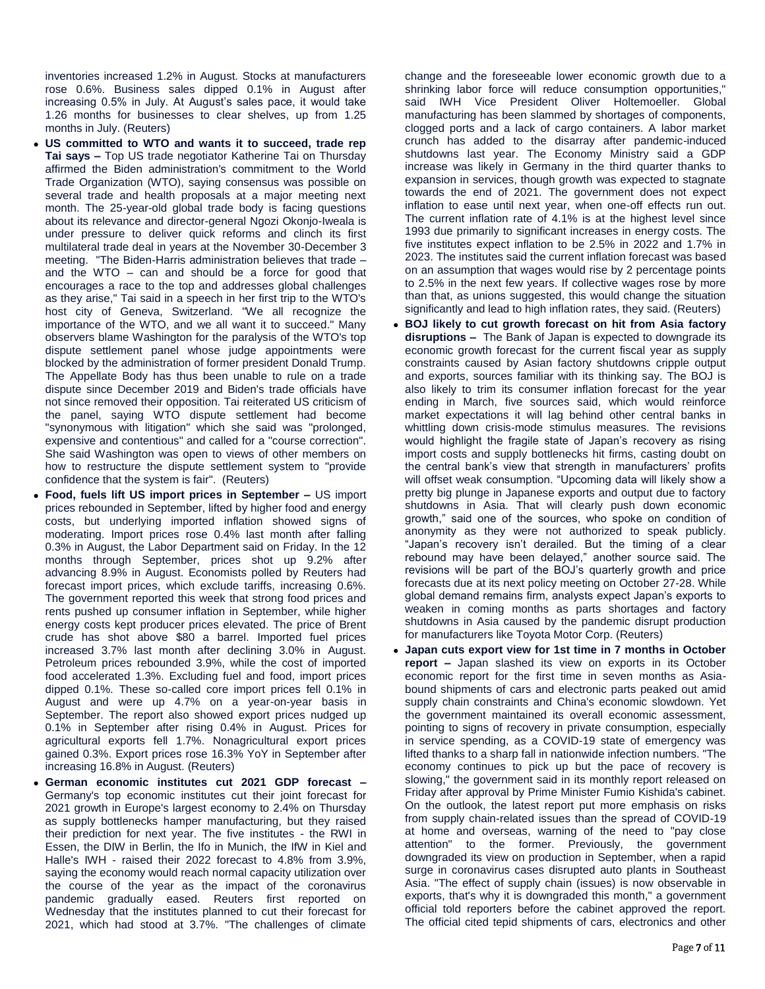inventories increased 1.2% in August. Stocks at manufacturers rose 0.6%. Business sales dipped 0.1% in August after increasing 0.5% in July. At August's sales pace, it would take 1.26 months for businesses to clear shelves, up from 1.25 months in July. (Reuters)

- **US committed to WTO and wants it to succeed, trade rep Tai says –** Top US trade negotiator Katherine Tai on Thursday affirmed the Biden administration's commitment to the World Trade Organization (WTO), saying consensus was possible on several trade and health proposals at a major meeting next month. The 25-year-old global trade body is facing questions about its relevance and director-general Ngozi Okonjo-Iweala is under pressure to deliver quick reforms and clinch its first multilateral trade deal in years at the November 30-December 3 meeting. "The Biden-Harris administration believes that trade – and the WTO – can and should be a force for good that encourages a race to the top and addresses global challenges as they arise," Tai said in a speech in her first trip to the WTO's host city of Geneva, Switzerland. "We all recognize the importance of the WTO, and we all want it to succeed." Many observers blame Washington for the paralysis of the WTO's top dispute settlement panel whose judge appointments were blocked by the administration of former president Donald Trump. The Appellate Body has thus been unable to rule on a trade dispute since December 2019 and Biden's trade officials have not since removed their opposition. Tai reiterated US criticism of the panel, saying WTO dispute settlement had become "synonymous with litigation" which she said was "prolonged, expensive and contentious" and called for a "course correction". She said Washington was open to views of other members on how to restructure the dispute settlement system to "provide confidence that the system is fair". (Reuters)
- **Food, fuels lift US import prices in September –** US import prices rebounded in September, lifted by higher food and energy costs, but underlying imported inflation showed signs of moderating. Import prices rose 0.4% last month after falling 0.3% in August, the Labor Department said on Friday. In the 12 months through September, prices shot up 9.2% after advancing 8.9% in August. Economists polled by Reuters had forecast import prices, which exclude tariffs, increasing 0.6%. The government reported this week that strong food prices and rents pushed up consumer inflation in September, while higher energy costs kept producer prices elevated. The price of Brent crude has shot above \$80 a barrel. Imported fuel prices increased 3.7% last month after declining 3.0% in August. Petroleum prices rebounded 3.9%, while the cost of imported food accelerated 1.3%. Excluding fuel and food, import prices dipped 0.1%. These so-called core import prices fell 0.1% in August and were up 4.7% on a year-on-year basis in September. The report also showed export prices nudged up 0.1% in September after rising 0.4% in August. Prices for agricultural exports fell 1.7%. Nonagricultural export prices gained 0.3%. Export prices rose 16.3% YoY in September after increasing 16.8% in August. (Reuters)
- **German economic institutes cut 2021 GDP forecast –** Germany's top economic institutes cut their joint forecast for 2021 growth in Europe's largest economy to 2.4% on Thursday as supply bottlenecks hamper manufacturing, but they raised their prediction for next year. The five institutes - the RWI in Essen, the DIW in Berlin, the Ifo in Munich, the IfW in Kiel and Halle's IWH - raised their 2022 forecast to 4.8% from 3.9%, saying the economy would reach normal capacity utilization over the course of the year as the impact of the coronavirus pandemic gradually eased. Reuters first reported on Wednesday that the institutes planned to cut their forecast for 2021, which had stood at 3.7%. "The challenges of climate

change and the foreseeable lower economic growth due to a shrinking labor force will reduce consumption opportunities," said IWH Vice President Oliver Holtemoeller. Global manufacturing has been slammed by shortages of components, clogged ports and a lack of cargo containers. A labor market crunch has added to the disarray after pandemic-induced shutdowns last year. The Economy Ministry said a GDP increase was likely in Germany in the third quarter thanks to expansion in services, though growth was expected to stagnate towards the end of 2021. The government does not expect inflation to ease until next year, when one-off effects run out. The current inflation rate of 4.1% is at the highest level since 1993 due primarily to significant increases in energy costs. The five institutes expect inflation to be 2.5% in 2022 and 1.7% in 2023. The institutes said the current inflation forecast was based on an assumption that wages would rise by 2 percentage points to 2.5% in the next few years. If collective wages rose by more than that, as unions suggested, this would change the situation significantly and lead to high inflation rates, they said. (Reuters)

- **BOJ likely to cut growth forecast on hit from Asia factory disruptions –** The Bank of Japan is expected to downgrade its economic growth forecast for the current fiscal year as supply constraints caused by Asian factory shutdowns cripple output and exports, sources familiar with its thinking say. The BOJ is also likely to trim its consumer inflation forecast for the year ending in March, five sources said, which would reinforce market expectations it will lag behind other central banks in whittling down crisis-mode stimulus measures. The revisions would highlight the fragile state of Japan's recovery as rising import costs and supply bottlenecks hit firms, casting doubt on the central bank's view that strength in manufacturers' profits will offset weak consumption. "Upcoming data will likely show a pretty big plunge in Japanese exports and output due to factory shutdowns in Asia. That will clearly push down economic growth," said one of the sources, who spoke on condition of anonymity as they were not authorized to speak publicly. "Japan's recovery isn't derailed. But the timing of a clear rebound may have been delayed," another source said. The revisions will be part of the BOJ's quarterly growth and price forecasts due at its next policy meeting on October 27-28. While global demand remains firm, analysts expect Japan's exports to weaken in coming months as parts shortages and factory shutdowns in Asia caused by the pandemic disrupt production for manufacturers like Toyota Motor Corp. (Reuters)
- **Japan cuts export view for 1st time in 7 months in October report –** Japan slashed its view on exports in its October economic report for the first time in seven months as Asiabound shipments of cars and electronic parts peaked out amid supply chain constraints and China's economic slowdown. Yet the government maintained its overall economic assessment, pointing to signs of recovery in private consumption, especially in service spending, as a COVID-19 state of emergency was lifted thanks to a sharp fall in nationwide infection numbers. "The economy continues to pick up but the pace of recovery is slowing," the government said in its monthly report released on Friday after approval by Prime Minister Fumio Kishida's cabinet. On the outlook, the latest report put more emphasis on risks from supply chain-related issues than the spread of COVID-19 at home and overseas, warning of the need to "pay close attention" to the former. Previously, the government downgraded its view on production in September, when a rapid surge in coronavirus cases disrupted auto plants in Southeast Asia. "The effect of supply chain (issues) is now observable in exports, that's why it is downgraded this month," a government official told reporters before the cabinet approved the report. The official cited tepid shipments of cars, electronics and other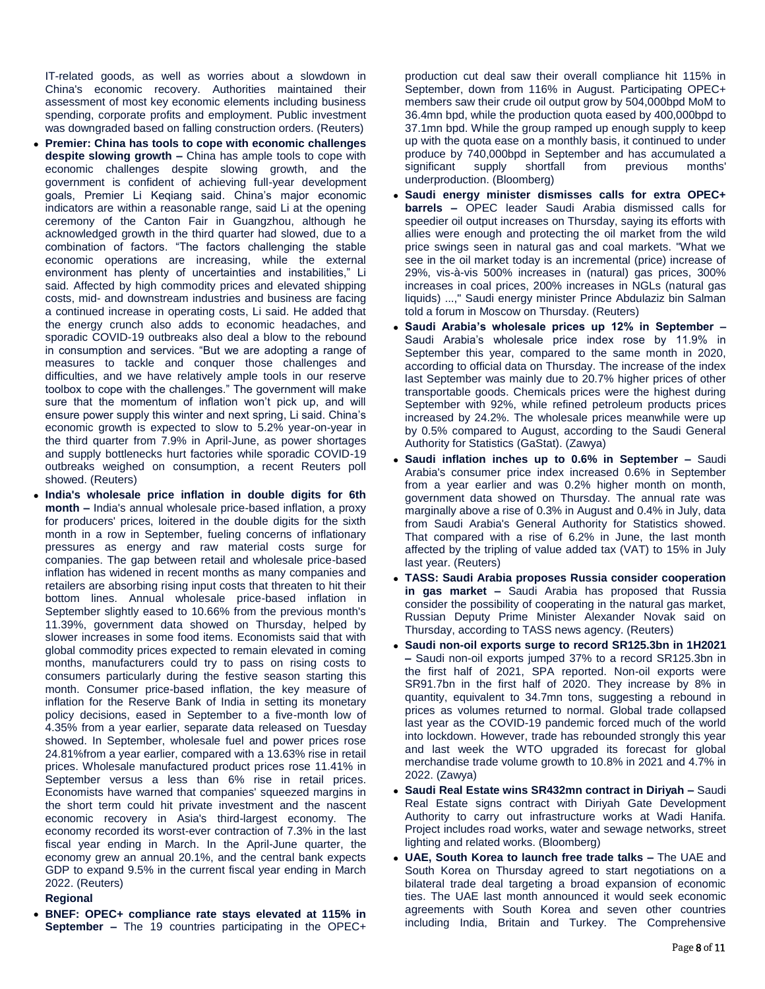IT-related goods, as well as worries about a slowdown in China's economic recovery. Authorities maintained their assessment of most key economic elements including business spending, corporate profits and employment. Public investment was downgraded based on falling construction orders. (Reuters)

- **Premier: China has tools to cope with economic challenges despite slowing growth –** China has ample tools to cope with economic challenges despite slowing growth, and the government is confident of achieving full-year development goals, Premier Li Keqiang said. China's major economic indicators are within a reasonable range, said Li at the opening ceremony of the Canton Fair in Guangzhou, although he acknowledged growth in the third quarter had slowed, due to a combination of factors. "The factors challenging the stable economic operations are increasing, while the external environment has plenty of uncertainties and instabilities," Li said. Affected by high commodity prices and elevated shipping costs, mid- and downstream industries and business are facing a continued increase in operating costs, Li said. He added that the energy crunch also adds to economic headaches, and sporadic COVID-19 outbreaks also deal a blow to the rebound in consumption and services. "But we are adopting a range of measures to tackle and conquer those challenges and difficulties, and we have relatively ample tools in our reserve toolbox to cope with the challenges." The government will make sure that the momentum of inflation won't pick up, and will ensure power supply this winter and next spring, Li said. China's economic growth is expected to slow to 5.2% year-on-year in the third quarter from 7.9% in April-June, as power shortages and supply bottlenecks hurt factories while sporadic COVID-19 outbreaks weighed on consumption, a recent Reuters poll showed. (Reuters)
- **India's wholesale price inflation in double digits for 6th month –** India's annual wholesale price-based inflation, a proxy for producers' prices, loitered in the double digits for the sixth month in a row in September, fueling concerns of inflationary pressures as energy and raw material costs surge for companies. The gap between retail and wholesale price-based inflation has widened in recent months as many companies and retailers are absorbing rising input costs that threaten to hit their bottom lines. Annual wholesale price-based inflation in September slightly eased to 10.66% from the previous month's 11.39%, government data showed on Thursday, helped by slower increases in some food items. Economists said that with global commodity prices expected to remain elevated in coming months, manufacturers could try to pass on rising costs to consumers particularly during the festive season starting this month. Consumer price-based inflation, the key measure of inflation for the Reserve Bank of India in setting its monetary policy decisions, eased in September to a five-month low of 4.35% from a year earlier, separate data released on Tuesday showed. In September, wholesale fuel and power prices rose 24.81%from a year earlier, compared with a 13.63% rise in retail prices. Wholesale manufactured product prices rose 11.41% in September versus a less than 6% rise in retail prices. Economists have warned that companies' squeezed margins in the short term could hit private investment and the nascent economic recovery in Asia's third-largest economy. The economy recorded its worst-ever contraction of 7.3% in the last fiscal year ending in March. In the April-June quarter, the economy grew an annual 20.1%, and the central bank expects GDP to expand 9.5% in the current fiscal year ending in March 2022. (Reuters)

# **Regional**

 **BNEF: OPEC+ compliance rate stays elevated at 115% in September –** The 19 countries participating in the OPEC+

production cut deal saw their overall compliance hit 115% in September, down from 116% in August. Participating OPEC+ members saw their crude oil output grow by 504,000bpd MoM to 36.4mn bpd, while the production quota eased by 400,000bpd to 37.1mn bpd. While the group ramped up enough supply to keep up with the quota ease on a monthly basis, it continued to under produce by 740,000bpd in September and has accumulated a significant supply shortfall from previous months' underproduction. (Bloomberg)

- **Saudi energy minister dismisses calls for extra OPEC+ barrels –** OPEC leader Saudi Arabia dismissed calls for speedier oil output increases on Thursday, saying its efforts with allies were enough and protecting the oil market from the wild price swings seen in natural gas and coal markets. "What we see in the oil market today is an incremental (price) increase of 29%, vis-à-vis 500% increases in (natural) gas prices, 300% increases in coal prices, 200% increases in NGLs (natural gas liquids) ...," Saudi energy minister Prince Abdulaziz bin Salman told a forum in Moscow on Thursday. (Reuters)
- **Saudi Arabia's wholesale prices up 12% in September –** Saudi Arabia's wholesale price index rose by 11.9% in September this year, compared to the same month in 2020, according to official data on Thursday. The increase of the index last September was mainly due to 20.7% higher prices of other transportable goods. Chemicals prices were the highest during September with 92%, while refined petroleum products prices increased by 24.2%. The wholesale prices meanwhile were up by 0.5% compared to August, according to the Saudi General Authority for Statistics (GaStat). (Zawya)
- **Saudi inflation inches up to 0.6% in September –** Saudi Arabia's consumer price index increased 0.6% in September from a year earlier and was 0.2% higher month on month, government data showed on Thursday. The annual rate was marginally above a rise of 0.3% in August and 0.4% in July, data from Saudi Arabia's General Authority for Statistics showed. That compared with a rise of 6.2% in June, the last month affected by the tripling of value added tax (VAT) to 15% in July last year. (Reuters)
- **TASS: Saudi Arabia proposes Russia consider cooperation in gas market –** Saudi Arabia has proposed that Russia consider the possibility of cooperating in the natural gas market, Russian Deputy Prime Minister Alexander Novak said on Thursday, according to TASS news agency. (Reuters)
- **Saudi non-oil exports surge to record SR125.3bn in 1H2021 –** Saudi non-oil exports jumped 37% to a record SR125.3bn in the first half of 2021, SPA reported. Non-oil exports were SR91.7bn in the first half of 2020. They increase by 8% in quantity, equivalent to 34.7mn tons, suggesting a rebound in prices as volumes returned to normal. Global trade collapsed last year as the COVID-19 pandemic forced much of the world into lockdown. However, trade has rebounded strongly this year and last week the WTO upgraded its forecast for global merchandise trade volume growth to 10.8% in 2021 and 4.7% in 2022. (Zawya)
- **Saudi Real Estate wins SR432mn contract in Diriyah –** Saudi Real Estate signs contract with Diriyah Gate Development Authority to carry out infrastructure works at Wadi Hanifa. Project includes road works, water and sewage networks, street lighting and related works. (Bloomberg)
- **UAE, South Korea to launch free trade talks –** The UAE and South Korea on Thursday agreed to start negotiations on a bilateral trade deal targeting a broad expansion of economic ties. The UAE last month announced it would seek economic agreements with South Korea and seven other countries including India, Britain and Turkey. The Comprehensive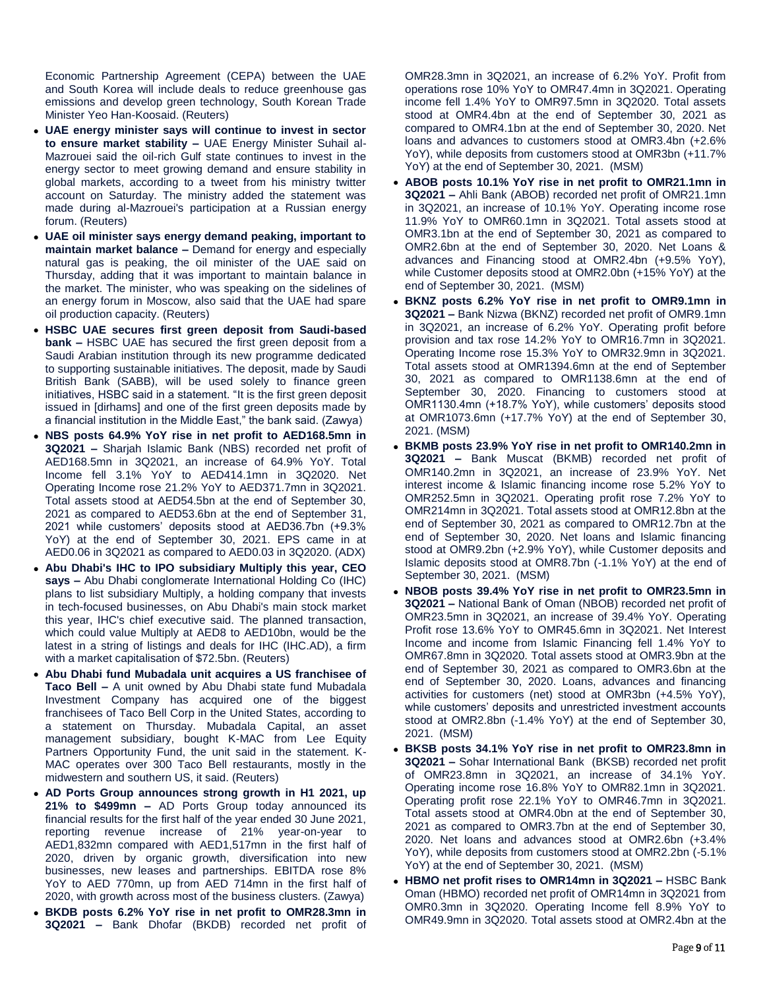Economic Partnership Agreement (CEPA) between the UAE and South Korea will include deals to reduce greenhouse gas emissions and develop green technology, South Korean Trade Minister Yeo Han-Koosaid. (Reuters)

- **UAE energy minister says will continue to invest in sector to ensure market stability –** UAE Energy Minister Suhail al-Mazrouei said the oil-rich Gulf state continues to invest in the energy sector to meet growing demand and ensure stability in global markets, according to a tweet from his ministry twitter account on Saturday. The ministry added the statement was made during al-Mazrouei's participation at a Russian energy forum. (Reuters)
- **UAE oil minister says energy demand peaking, important to maintain market balance –** Demand for energy and especially natural gas is peaking, the oil minister of the UAE said on Thursday, adding that it was important to maintain balance in the market. The minister, who was speaking on the sidelines of an energy forum in Moscow, also said that the UAE had spare oil production capacity. (Reuters)
- **HSBC UAE secures first green deposit from Saudi-based bank –** HSBC UAE has secured the first green deposit from a Saudi Arabian institution through its new programme dedicated to supporting sustainable initiatives. The deposit, made by Saudi British Bank (SABB), will be used solely to finance green initiatives, HSBC said in a statement. "It is the first green deposit issued in [dirhams] and one of the first green deposits made by a financial institution in the Middle East," the bank said. (Zawya)
- **NBS posts 64.9% YoY rise in net profit to AED168.5mn in 3Q2021 –** Sharjah Islamic Bank (NBS) recorded net profit of AED168.5mn in 3Q2021, an increase of 64.9% YoY. Total Income fell 3.1% YoY to AED414.1mn in 3Q2020. Net Operating Income rose 21.2% YoY to AED371.7mn in 3Q2021. Total assets stood at AED54.5bn at the end of September 30, 2021 as compared to AED53.6bn at the end of September 31, 2021 while customers' deposits stood at AED36.7bn (+9.3% YoY) at the end of September 30, 2021. EPS came in at AED0.06 in 3Q2021 as compared to AED0.03 in 3Q2020. (ADX)
- **Abu Dhabi's IHC to IPO subsidiary Multiply this year, CEO says –** Abu Dhabi conglomerate International Holding Co (IHC) plans to list subsidiary Multiply, a holding company that invests in tech-focused businesses, on Abu Dhabi's main stock market this year, IHC's chief executive said. The planned transaction, which could value Multiply at AED8 to AED10bn, would be the latest in a string of listings and deals for IHC (IHC.AD), a firm with a market capitalisation of \$72.5bn. (Reuters)
- **Abu Dhabi fund Mubadala unit acquires a US franchisee of Taco Bell –** A unit owned by Abu Dhabi state fund Mubadala Investment Company has acquired one of the biggest franchisees of Taco Bell Corp in the United States, according to a statement on Thursday. Mubadala Capital, an asset management subsidiary, bought K-MAC from Lee Equity Partners Opportunity Fund, the unit said in the statement. K-MAC operates over 300 Taco Bell restaurants, mostly in the midwestern and southern US, it said. (Reuters)
- **AD Ports Group announces strong growth in H1 2021, up 21% to \$499mn –** AD Ports Group today announced its financial results for the first half of the year ended 30 June 2021, reporting revenue increase of 21% year-on-year to AED1,832mn compared with AED1,517mn in the first half of 2020, driven by organic growth, diversification into new businesses, new leases and partnerships. EBITDA rose 8% YoY to AED 770mn, up from AED 714mn in the first half of 2020, with growth across most of the business clusters. (Zawya)
- **BKDB posts 6.2% YoY rise in net profit to OMR28.3mn in 3Q2021 –** Bank Dhofar (BKDB) recorded net profit of

OMR28.3mn in 3Q2021, an increase of 6.2% YoY. Profit from operations rose 10% YoY to OMR47.4mn in 3Q2021. Operating income fell 1.4% YoY to OMR97.5mn in 3Q2020. Total assets stood at OMR4.4bn at the end of September 30, 2021 as compared to OMR4.1bn at the end of September 30, 2020. Net loans and advances to customers stood at OMR3.4bn (+2.6% YoY), while deposits from customers stood at OMR3bn (+11.7% YoY) at the end of September 30, 2021. (MSM)

- **ABOB posts 10.1% YoY rise in net profit to OMR21.1mn in 3Q2021 –** Ahli Bank (ABOB) recorded net profit of OMR21.1mn in 3Q2021, an increase of 10.1% YoY. Operating income rose 11.9% YoY to OMR60.1mn in 3Q2021. Total assets stood at OMR3.1bn at the end of September 30, 2021 as compared to OMR2.6bn at the end of September 30, 2020. Net Loans & advances and Financing stood at OMR2.4bn (+9.5% YoY), while Customer deposits stood at OMR2.0bn (+15% YoY) at the end of September 30, 2021. (MSM)
- **BKNZ posts 6.2% YoY rise in net profit to OMR9.1mn in 3Q2021 –** Bank Nizwa (BKNZ) recorded net profit of OMR9.1mn in 3Q2021, an increase of 6.2% YoY. Operating profit before provision and tax rose 14.2% YoY to OMR16.7mn in 3Q2021. Operating Income rose 15.3% YoY to OMR32.9mn in 3Q2021. Total assets stood at OMR1394.6mn at the end of September 30, 2021 as compared to OMR1138.6mn at the end of September 30, 2020. Financing to customers stood at OMR1130.4mn (+18.7% YoY), while customers' deposits stood at OMR1073.6mn (+17.7% YoY) at the end of September 30, 2021. (MSM)
- **BKMB posts 23.9% YoY rise in net profit to OMR140.2mn in 3Q2021 –** Bank Muscat (BKMB) recorded net profit of OMR140.2mn in 3Q2021, an increase of 23.9% YoY. Net interest income & Islamic financing income rose 5.2% YoY to OMR252.5mn in 3Q2021. Operating profit rose 7.2% YoY to OMR214mn in 3Q2021. Total assets stood at OMR12.8bn at the end of September 30, 2021 as compared to OMR12.7bn at the end of September 30, 2020. Net loans and Islamic financing stood at OMR9.2bn (+2.9% YoY), while Customer deposits and Islamic deposits stood at OMR8.7bn (-1.1% YoY) at the end of September 30, 2021. (MSM)
- **NBOB posts 39.4% YoY rise in net profit to OMR23.5mn in 3Q2021 –** National Bank of Oman (NBOB) recorded net profit of OMR23.5mn in 3Q2021, an increase of 39.4% YoY. Operating Profit rose 13.6% YoY to OMR45.6mn in 3Q2021. Net Interest Income and income from Islamic Financing fell 1.4% YoY to OMR67.8mn in 3Q2020. Total assets stood at OMR3.9bn at the end of September 30, 2021 as compared to OMR3.6bn at the end of September 30, 2020. Loans, advances and financing activities for customers (net) stood at OMR3bn (+4.5% YoY), while customers' deposits and unrestricted investment accounts stood at OMR2.8bn (-1.4% YoY) at the end of September 30, 2021. (MSM)
- **BKSB posts 34.1% YoY rise in net profit to OMR23.8mn in 3Q2021 –** Sohar International Bank (BKSB) recorded net profit of OMR23.8mn in 3Q2021, an increase of 34.1% YoY. Operating income rose 16.8% YoY to OMR82.1mn in 3Q2021. Operating profit rose 22.1% YoY to OMR46.7mn in 3Q2021. Total assets stood at OMR4.0bn at the end of September 30, 2021 as compared to OMR3.7bn at the end of September 30, 2020. Net loans and advances stood at OMR2.6bn (+3.4% YoY), while deposits from customers stood at OMR2.2bn (-5.1% YoY) at the end of September 30, 2021. (MSM)
- **HBMO net profit rises to OMR14mn in 3Q2021 –** HSBC Bank Oman (HBMO) recorded net profit of OMR14mn in 3Q2021 from OMR0.3mn in 3Q2020. Operating Income fell 8.9% YoY to OMR49.9mn in 3Q2020. Total assets stood at OMR2.4bn at the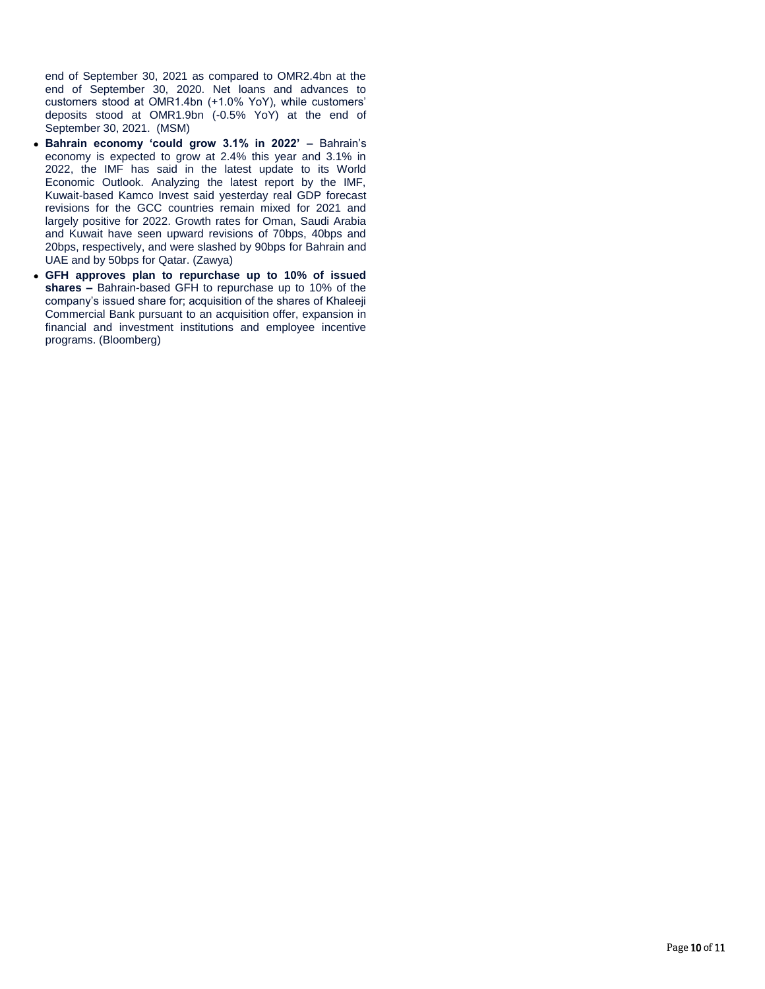end of September 30, 2021 as compared to OMR2.4bn at the end of September 30, 2020. Net loans and advances to customers stood at OMR1.4bn (+1.0% YoY), while customers' deposits stood at OMR1.9bn (-0.5% YoY) at the end of September 30, 2021. (MSM)

- **Bahrain economy 'could grow 3.1% in 2022' –** Bahrain's economy is expected to grow at 2.4% this year and 3.1% in 2022, the IMF has said in the latest update to its World Economic Outlook. Analyzing the latest report by the IMF, Kuwait-based Kamco Invest said yesterday real GDP forecast revisions for the GCC countries remain mixed for 2021 and largely positive for 2022. Growth rates for Oman, Saudi Arabia and Kuwait have seen upward revisions of 70bps, 40bps and 20bps, respectively, and were slashed by 90bps for Bahrain and UAE and by 50bps for Qatar. (Zawya)
- **GFH approves plan to repurchase up to 10% of issued shares –** Bahrain-based GFH to repurchase up to 10% of the company's issued share for; acquisition of the shares of Khaleeji Commercial Bank pursuant to an acquisition offer, expansion in financial and investment institutions and employee incentive programs. (Bloomberg)